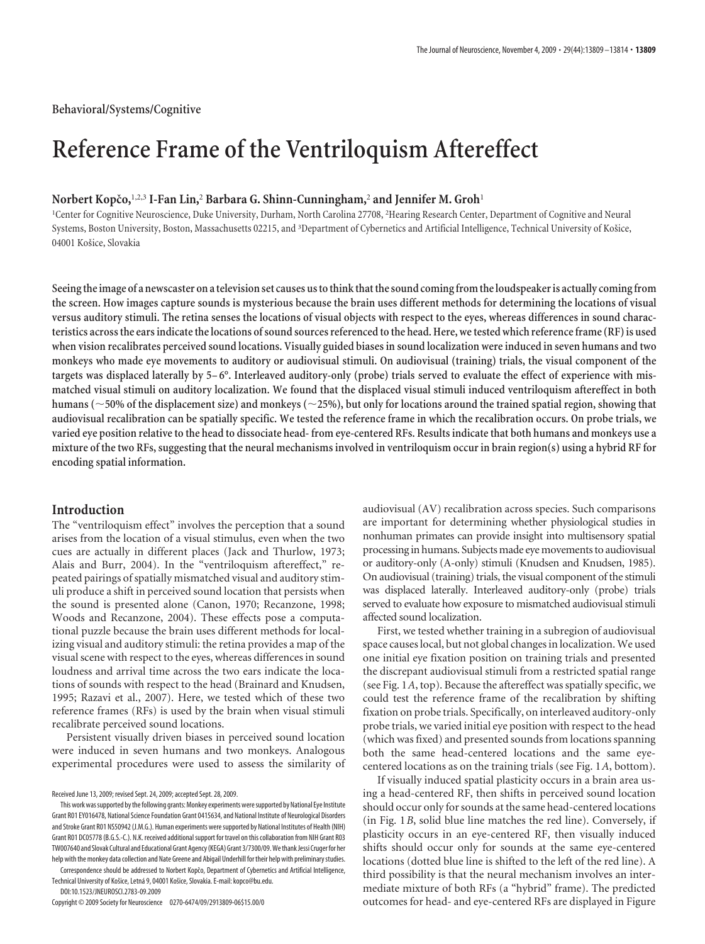# **Reference Frame of the Ventriloquism Aftereffect**

## **Norbert Kopcˇo,**1,2,3 **I-Fan Lin,**<sup>2</sup> **Barbara G. Shinn-Cunningham,**<sup>2</sup> **and Jennifer M. Groh**<sup>1</sup>

<sup>1</sup>Center for Cognitive Neuroscience, Duke University, Durham, North Carolina 27708, <sup>2</sup>Hearing Research Center, Department of Cognitive and Neural Systems, Boston University, Boston, Massachusetts 02215, and <sup>3</sup>Department of Cybernetics and Artificial Intelligence, Technical University of Košice, 04001 Košice, Slovakia

**Seeingthe image of a newscaster on atelevision set causes ustothinkthatthe sound comingfromthe loudspeaker is actually comingfrom the screen. How images capture sounds is mysterious because the brain uses different methods for determining the locations of visual versus auditory stimuli. The retina senses the locations of visual objects with respect to the eyes, whereas differences in sound characteristics across the ears indicate the locations of sound sources referenced to the head. Here, we tested which reference frame (RF) is used when vision recalibrates perceived sound locations. Visually guided biases in sound localization were induced in seven humans and two monkeys who made eye movements to auditory or audiovisual stimuli. On audiovisual (training) trials, the visual component of the targets was displaced laterally by 5– 6°. Interleaved auditory-only (probe) trials served to evaluate the effect of experience with mismatched visual stimuli on auditory localization. We found that the displaced visual stimuli induced ventriloquism aftereffect in both humans (50% of the displacement size) and monkeys (25%), but only for locations around the trained spatial region, showing that audiovisual recalibration can be spatially specific. We tested the reference frame in which the recalibration occurs. On probe trials, we varied eye position relative to the head to dissociate head- from eye-centered RFs. Results indicate that both humans and monkeys use a mixture of the two RFs, suggesting that the neural mechanisms involved in ventriloquism occur in brain region(s) using a hybrid RF for encoding spatial information.**

## **Introduction**

The "ventriloquism effect" involves the perception that a sound arises from the location of a visual stimulus, even when the two cues are actually in different places (Jack and Thurlow, 1973; Alais and Burr, 2004). In the "ventriloquism aftereffect," repeated pairings of spatially mismatched visual and auditory stimuli produce a shift in perceived sound location that persists when the sound is presented alone (Canon, 1970; Recanzone, 1998; Woods and Recanzone, 2004). These effects pose a computational puzzle because the brain uses different methods for localizing visual and auditory stimuli: the retina provides a map of the visual scene with respect to the eyes, whereas differences in sound loudness and arrival time across the two ears indicate the locations of sounds with respect to the head (Brainard and Knudsen, 1995; Razavi et al., 2007). Here, we tested which of these two reference frames (RFs) is used by the brain when visual stimuli recalibrate perceived sound locations.

Persistent visually driven biases in perceived sound location were induced in seven humans and two monkeys. Analogous experimental procedures were used to assess the similarity of

Technical University of Košice, Letná 9, 04001 Košice, Slovakia. E-mail: kopco@bu.edu.

DOI:10.1523/JNEUROSCI.2783-09.2009

Copyright © 2009 Society for Neuroscience 0270-6474/09/2913809-06\$15.00/0

audiovisual (AV) recalibration across species. Such comparisons are important for determining whether physiological studies in nonhuman primates can provide insight into multisensory spatial processing in humans. Subjects made eye movements to audiovisual or auditory-only (A-only) stimuli (Knudsen and Knudsen, 1985). On audiovisual (training) trials, the visual component of the stimuli was displaced laterally. Interleaved auditory-only (probe) trials served to evaluate how exposure to mismatched audiovisual stimuli affected sound localization.

First, we tested whether training in a subregion of audiovisual space causes local, but not global changes in localization. We used one initial eye fixation position on training trials and presented the discrepant audiovisual stimuli from a restricted spatial range (see Fig. 1*A*, top). Because the aftereffect was spatially specific, we could test the reference frame of the recalibration by shifting fixation on probe trials. Specifically, on interleaved auditory-only probe trials, we varied initial eye position with respect to the head (which was fixed) and presented sounds from locations spanning both the same head-centered locations and the same eyecentered locations as on the training trials (see Fig. 1*A*, bottom).

If visually induced spatial plasticity occurs in a brain area using a head-centered RF, then shifts in perceived sound location should occur only for sounds at the same head-centered locations (in Fig. 1*B*, solid blue line matches the red line). Conversely, if plasticity occurs in an eye-centered RF, then visually induced shifts should occur only for sounds at the same eye-centered locations (dotted blue line is shifted to the left of the red line). A third possibility is that the neural mechanism involves an intermediate mixture of both RFs (a "hybrid" frame). The predicted outcomes for head- and eye-centered RFs are displayed in Figure

Received June 13, 2009; revised Sept. 24, 2009; accepted Sept. 28, 2009.

This work was supported by the following grants: Monkey experiments were supported by National Eye Institute Grant R01 EY016478, National Science Foundation Grant 0415634, and National Institute of Neurological Disorders and Stroke Grant R01 NS50942 (J.M.G.). Human experiments were supported by National Institutes of Health (NIH) Grant R01 DC05778 (B.G.S.-C.). N.K. received additional support for travel on this collaboration from NIH Grant R03 TW007640 and Slovak Cultural and Educational Grant Agency(KEGA) Grant 3/7300/09.WethankJessi Crugerfor her help with the monkey data collection and Nate Greene and Abigail Underhill for their help with preliminarystudies. Correspondence should be addressed to Norbert Kopčo, Department of Cybernetics and Artificial Intelligence,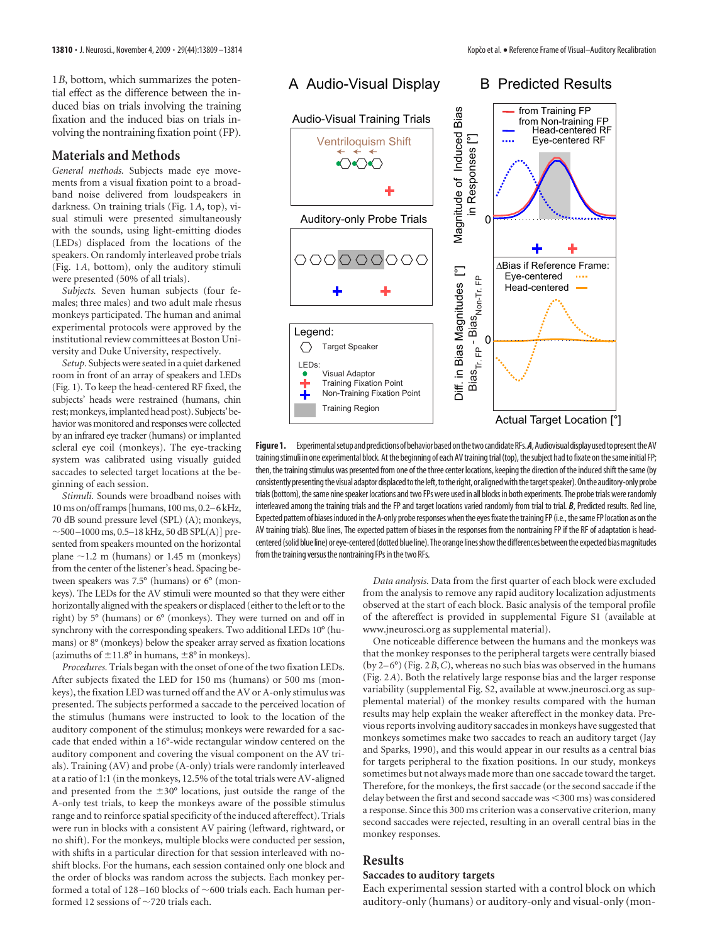1*B*, bottom, which summarizes the potential effect as the difference between the induced bias on trials involving the training fixation and the induced bias on trials involving the nontraining fixation point (FP).

#### **Materials and Methods**

*General methods.* Subjects made eye movements from a visual fixation point to a broadband noise delivered from loudspeakers in darkness. On training trials (Fig. 1*A*, top), visual stimuli were presented simultaneously with the sounds, using light-emitting diodes (LEDs) displaced from the locations of the speakers. On randomly interleaved probe trials (Fig. 1*A*, bottom), only the auditory stimuli were presented (50% of all trials).

*Subjects.* Seven human subjects (four females; three males) and two adult male rhesus monkeys participated. The human and animal experimental protocols were approved by the institutional review committees at Boston University and Duke University, respectively.

Setup. Subjects were seated in a quiet darkened room in front of an array of speakers and LEDs (Fig. 1). To keep the head-centered RF fixed, the subjects' heads were restrained (humans, chin rest; monkeys, implanted head post). Subjects' behavior was monitored and responses were collected by an infrared eye tracker (humans) or implanted scleral eye coil (monkeys). The eye-tracking system was calibrated using visually guided saccades to selected target locations at the beginning of each session.

*Stimuli.* Sounds were broadband noises with 10ms on/off ramps [humans, 100ms, 0.2–6 kHz, 70 dB sound pressure level (SPL) (A); monkeys,  $\sim$  500 –1000 ms, 0.5–18 kHz, 50 dB SPL(A)] presented from speakers mounted on the horizontal plane  $\sim$ 1.2 m (humans) or 1.45 m (monkeys) from the center of the listener's head. Spacing between speakers was 7.5° (humans) or 6° (mon-

keys). The LEDs for the AV stimuli were mounted so that they were either horizontally aligned with the speakers or displaced (either to the left or to the right) by 5° (humans) or 6° (monkeys). They were turned on and off in synchrony with the corresponding speakers. Two additional LEDs 10° (humans) or 8° (monkeys) below the speaker array served as fixation locations (azimuths of  $\pm 11.8$ ° in humans,  $\pm 8$ ° in monkeys).

*Procedures.* Trials began with the onset of one of the two fixation LEDs. After subjects fixated the LED for 150 ms (humans) or 500 ms (monkeys), the fixation LED was turned off and the AV or A-only stimulus was presented. The subjects performed a saccade to the perceived location of the stimulus (humans were instructed to look to the location of the auditory component of the stimulus; monkeys were rewarded for a saccade that ended within a 16°-wide rectangular window centered on the auditory component and covering the visual component on the AV trials). Training (AV) and probe (A-only) trials were randomly interleaved at a ratio of 1:1 (in the monkeys, 12.5% of the total trials were AV-aligned and presented from the  $\pm 30^{\circ}$  locations, just outside the range of the A-only test trials, to keep the monkeys aware of the possible stimulus range and to reinforce spatial specificity of the induced aftereffect). Trials were run in blocks with a consistent AV pairing (leftward, rightward, or no shift). For the monkeys, multiple blocks were conducted per session, with shifts in a particular direction for that session interleaved with noshift blocks. For the humans, each session contained only one block and the order of blocks was random across the subjects. Each monkey performed a total of 128-160 blocks of  $\sim$  600 trials each. Each human performed 12 sessions of  $\sim$  720 trials each.



Figure 1. Experimental setup and predictions of behavior based on the two candidate RFs. A, Audiovisual display used to present the AV training stimuli in one experimental block. At the beginning of each AV training trial (top), the subject had to fixate on the same initial FP; then, the training stimulus was presented from one of the three center locations, keeping the direction of the induced shift the same (by consistently presenting the visual adaptor displaced to the left, to the right, or aligned with the target speaker). On the auditory-only probe trials (bottom), the same nine speaker locations and two FPs were used in all blocks in both experiments. The probe trials were randomly interleaved among the training trials and the FP and target locations varied randomly from trial to trial. *B*, Predicted results. Red line, Expected pattern of biases induced in the A-only probe responses when the eyes fixate the training FP (i.e., the same FP location as on the AV training trials). Blue lines, The expected pattern of biases in the responses from the nontraining FP if the RF of adaptation is headcentered (solid blue line) or eye-centered (dotted blue line). The orange lines show the differences between the expected bias magnitudes from the training versus the nontraining FPs in the two RFs.

*Data analysis.* Data from the first quarter of each block were excluded from the analysis to remove any rapid auditory localization adjustments observed at the start of each block. Basic analysis of the temporal profile of the aftereffect is provided in supplemental Figure S1 (available at www.jneurosci.org as supplemental material).

One noticeable difference between the humans and the monkeys was that the monkey responses to the peripheral targets were centrally biased (by 2– 6°) (Fig. 2*B*,*C*), whereas no such bias was observed in the humans (Fig. 2*A*). Both the relatively large response bias and the larger response variability (supplemental Fig. S2, available at www.jneurosci.org as supplemental material) of the monkey results compared with the human results may help explain the weaker aftereffect in the monkey data. Previous reports involving auditory saccades in monkeys have suggested that monkeys sometimes make two saccades to reach an auditory target (Jay and Sparks, 1990), and this would appear in our results as a central bias for targets peripheral to the fixation positions. In our study, monkeys sometimes but not always made more than one saccade toward the target. Therefore, for the monkeys, the first saccade (or the second saccade if the delay between the first and second saccade was <300 ms) was considered a response. Since this 300 ms criterion was a conservative criterion, many second saccades were rejected, resulting in an overall central bias in the monkey responses.

## **Results**

## **Saccades to auditory targets**

Each experimental session started with a control block on which auditory-only (humans) or auditory-only and visual-only (mon-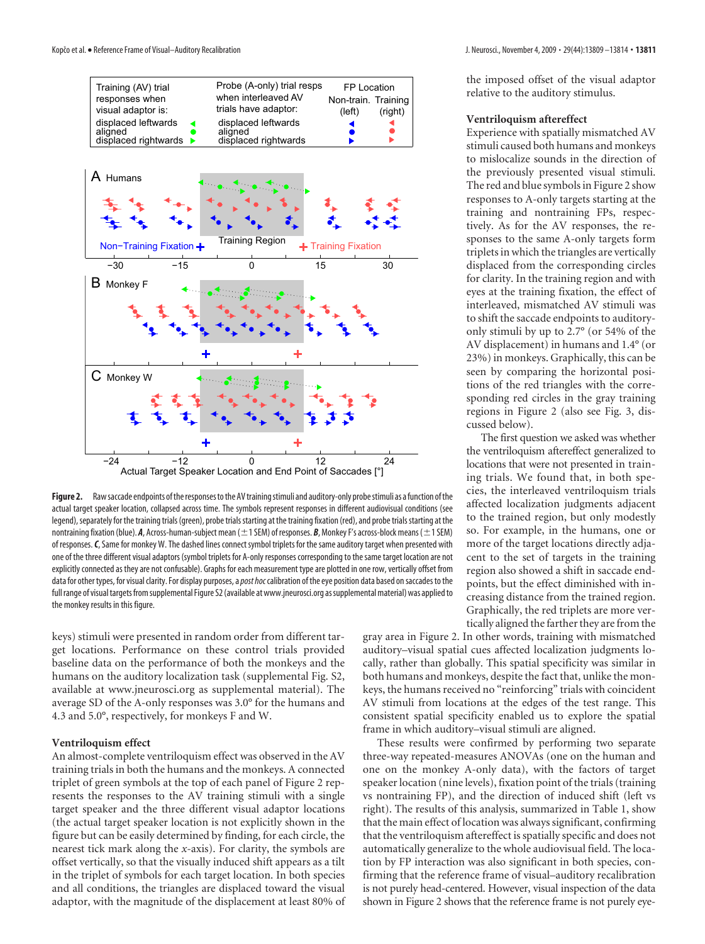

Figure 2. Raw saccade endpoints of the responses to the AV training stimuli and auditory-only probe stimuli as a function of the actual target speaker location, collapsed across time. The symbols represent responses in different audiovisual conditions (see legend), separately for the training trials (green), probe trials starting at the training fixation (red), and probe trials starting at the nontraining fixation (blue). **A**, Across-human-subject mean (±1 SEM) of responses. *B*, Monkey F's across-block means (±1 SEM) of responses.*C*, Same for monkey W. The dashed lines connect symbol triplets for the same auditory target when presented with one of the three different visual adaptors (symbol triplets for A-only responses corresponding to the same target location are not explicitly connected as they are not confusable). Graphs for each measurement type are plotted in one row, vertically offset from data for other types, for visual clarity. For display purposes, a*post hoc*calibration of the eye position data based onsaccades to the full range of visual targets from supplemental Figure S2 (available at www.jneurosci.org as supplemental material) was applied to the monkey results in this figure.

keys) stimuli were presented in random order from different target locations. Performance on these control trials provided baseline data on the performance of both the monkeys and the humans on the auditory localization task (supplemental Fig. S2, available at www.jneurosci.org as supplemental material). The average SD of the A-only responses was 3.0° for the humans and 4.3 and 5.0°, respectively, for monkeys F and W.

#### **Ventriloquism effect**

An almost-complete ventriloquism effect was observed in the AV training trials in both the humans and the monkeys. A connected triplet of green symbols at the top of each panel of Figure 2 represents the responses to the AV training stimuli with a single target speaker and the three different visual adaptor locations (the actual target speaker location is not explicitly shown in the figure but can be easily determined by finding, for each circle, the nearest tick mark along the *x*-axis). For clarity, the symbols are offset vertically, so that the visually induced shift appears as a tilt in the triplet of symbols for each target location. In both species and all conditions, the triangles are displaced toward the visual adaptor, with the magnitude of the displacement at least 80% of the imposed offset of the visual adaptor relative to the auditory stimulus.

#### **Ventriloquism aftereffect**

Experience with spatially mismatched AV stimuli caused both humans and monkeys to mislocalize sounds in the direction of the previously presented visual stimuli. The red and blue symbols in Figure 2 show responses to A-only targets starting at the training and nontraining FPs, respectively. As for the AV responses, the responses to the same A-only targets form triplets in which the triangles are vertically displaced from the corresponding circles for clarity. In the training region and with eyes at the training fixation, the effect of interleaved, mismatched AV stimuli was to shift the saccade endpoints to auditoryonly stimuli by up to 2.7° (or 54% of the AV displacement) in humans and 1.4° (or 23%) in monkeys. Graphically, this can be seen by comparing the horizontal positions of the red triangles with the corresponding red circles in the gray training regions in Figure 2 (also see Fig. 3, discussed below).

The first question we asked was whether the ventriloquism aftereffect generalized to locations that were not presented in training trials. We found that, in both species, the interleaved ventriloquism trials affected localization judgments adjacent to the trained region, but only modestly so. For example, in the humans, one or more of the target locations directly adjacent to the set of targets in the training region also showed a shift in saccade endpoints, but the effect diminished with increasing distance from the trained region. Graphically, the red triplets are more vertically aligned the farther they are from the

gray area in Figure 2. In other words, training with mismatched auditory–visual spatial cues affected localization judgments locally, rather than globally. This spatial specificity was similar in both humans and monkeys, despite the fact that, unlike the monkeys, the humans received no "reinforcing" trials with coincident AV stimuli from locations at the edges of the test range. This consistent spatial specificity enabled us to explore the spatial frame in which auditory–visual stimuli are aligned.

These results were confirmed by performing two separate three-way repeated-measures ANOVAs (one on the human and one on the monkey A-only data), with the factors of target speaker location (nine levels), fixation point of the trials (training vs nontraining FP), and the direction of induced shift (left vs right). The results of this analysis, summarized in Table 1, show that the main effect of location was always significant, confirming that the ventriloquism aftereffect is spatially specific and does not automatically generalize to the whole audiovisual field. The location by FP interaction was also significant in both species, confirming that the reference frame of visual–auditory recalibration is not purely head-centered. However, visual inspection of the data shown in Figure 2 shows that the reference frame is not purely eye-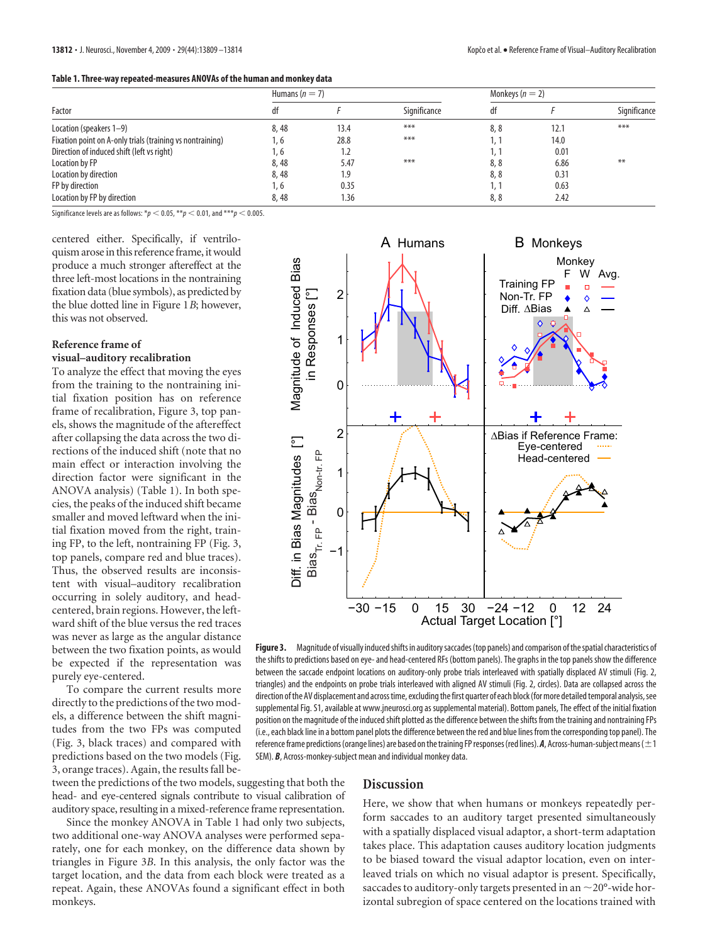| Factor                                                    | Humans $(n = 7)$ |      |              | Monkeys ( $n = 2$ ) |      |              |
|-----------------------------------------------------------|------------------|------|--------------|---------------------|------|--------------|
|                                                           | αT               |      | Significance | df                  |      | Significance |
| Location (speakers 1–9)                                   | 8,48             | 13.4 | $***$        | 8,8                 | 12.1 | $***$        |
| Fixation point on A-only trials (training vs nontraining) | 1.6              | 28.8 | $***$        |                     | 14.0 |              |
| Direction of induced shift (left vs right)                | , 6              | 1.2  |              |                     | 0.01 |              |
| Location by FP                                            | 8,48             | 5.47 | $***$        | 8,8                 | 6.86 | $**$         |
| Location by direction                                     | 8,48             | 1.9  |              | 8,8                 | 0.31 |              |
| FP by direction                                           | 1.6              | 0.35 |              |                     | 0.63 |              |
| Location by FP by direction                               | 8,48             | 1.36 |              | 8,8                 | 2.42 |              |

Significance levels are as follows:  $*p < 0.05$ ,  $**p < 0.01$ , and  $***p < 0.005$ .

centered either. Specifically, if ventriloquism arose in this reference frame, it would produce a much stronger aftereffect at the three left-most locations in the nontraining fixation data (blue symbols), as predicted by the blue dotted line in Figure 1*B*; however, this was not observed.

## **Reference frame of visual–auditory recalibration**

To analyze the effect that moving the eyes from the training to the nontraining initial fixation position has on reference frame of recalibration, Figure 3, top panels, shows the magnitude of the aftereffect after collapsing the data across the two directions of the induced shift (note that no main effect or interaction involving the direction factor were significant in the ANOVA analysis) (Table 1). In both species, the peaks of the induced shift became smaller and moved leftward when the initial fixation moved from the right, training FP, to the left, nontraining FP (Fig. 3, top panels, compare red and blue traces). Thus, the observed results are inconsistent with visual–auditory recalibration occurring in solely auditory, and headcentered, brain regions. However, the leftward shift of the blue versus the red traces was never as large as the angular distance between the two fixation points, as would be expected if the representation was purely eye-centered.

To compare the current results more directly to the predictions of the two models, a difference between the shift magnitudes from the two FPs was computed (Fig. 3, black traces) and compared with predictions based on the two models (Fig. 3, orange traces). Again, the results fall be-



Figure 3. Magnitude of visually induced shifts in auditory saccades (top panels) and comparison of the spatial characteristics of the shifts to predictions based on eye- and head-centered RFs (bottom panels). The graphs in the top panels show the difference between the saccade endpoint locations on auditory-only probe trials interleaved with spatially displaced AV stimuli (Fig. 2, triangles) and the endpoints on probe trials interleaved with aligned AV stimuli (Fig. 2, circles). Data are collapsed across the direction of the AV displacement and across time, excluding the first quarter of each block (for more detailed temporal analysis, see supplemental Fig. S1, available at www.jneurosci.org as supplemental material). Bottom panels, The effect of the initial fixation position on the magnitude of the induced shift plotted as the difference between the shifts from the training and nontraining FPs (i.e., each black line in a bottom panel plots the difference between the red and blue lines from the corresponding top panel). The reference frame predictions (orange lines) are based on the training FP responses (red lines). **A**, Across-human-subject means (  $\pm$  1 SEM). *B*, Across-monkey-subject mean and individual monkey data.

tween the predictions of the two models, suggesting that both the head- and eye-centered signals contribute to visual calibration of auditory space, resulting in a mixed-reference frame representation.

Since the monkey ANOVA in Table 1 had only two subjects, two additional one-way ANOVA analyses were performed separately, one for each monkey, on the difference data shown by triangles in Figure 3*B*. In this analysis, the only factor was the target location, and the data from each block were treated as a repeat. Again, these ANOVAs found a significant effect in both monkeys.

## **Discussion**

Here, we show that when humans or monkeys repeatedly perform saccades to an auditory target presented simultaneously with a spatially displaced visual adaptor, a short-term adaptation takes place. This adaptation causes auditory location judgments to be biased toward the visual adaptor location, even on interleaved trials on which no visual adaptor is present. Specifically, saccades to auditory-only targets presented in an  $\sim$  20°-wide horizontal subregion of space centered on the locations trained with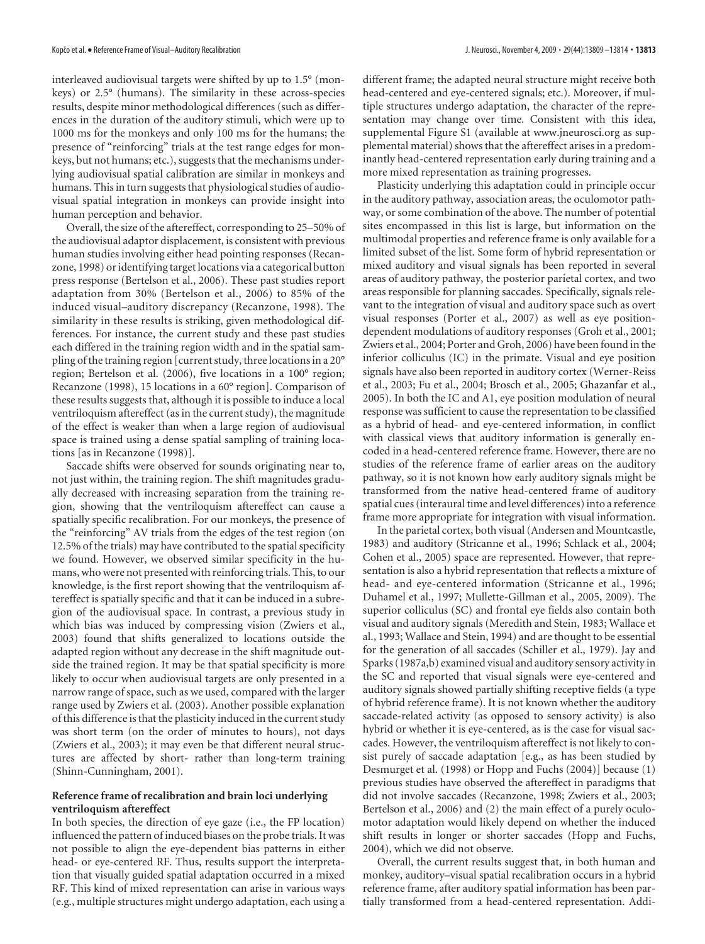interleaved audiovisual targets were shifted by up to 1.5° (monkeys) or 2.5° (humans). The similarity in these across-species results, despite minor methodological differences (such as differences in the duration of the auditory stimuli, which were up to 1000 ms for the monkeys and only 100 ms for the humans; the presence of "reinforcing" trials at the test range edges for monkeys, but not humans; etc.), suggests that the mechanisms underlying audiovisual spatial calibration are similar in monkeys and humans. This in turn suggests that physiological studies of audiovisual spatial integration in monkeys can provide insight into human perception and behavior.

Overall, the size of the aftereffect, corresponding to 25–50% of the audiovisual adaptor displacement, is consistent with previous human studies involving either head pointing responses (Recanzone, 1998) or identifying target locations via a categorical button press response (Bertelson et al., 2006). These past studies report adaptation from 30% (Bertelson et al., 2006) to 85% of the induced visual–auditory discrepancy (Recanzone, 1998). The similarity in these results is striking, given methodological differences. For instance, the current study and these past studies each differed in the training region width and in the spatial sampling of the training region [current study, three locations in a 20° region; Bertelson et al. (2006), five locations in a 100° region; Recanzone (1998), 15 locations in a 60° region]. Comparison of these results suggests that, although it is possible to induce a local ventriloquism aftereffect (as in the current study), the magnitude of the effect is weaker than when a large region of audiovisual space is trained using a dense spatial sampling of training locations [as in Recanzone (1998)].

Saccade shifts were observed for sounds originating near to, not just within, the training region. The shift magnitudes gradually decreased with increasing separation from the training region, showing that the ventriloquism aftereffect can cause a spatially specific recalibration. For our monkeys, the presence of the "reinforcing" AV trials from the edges of the test region (on 12.5% of the trials) may have contributed to the spatial specificity we found. However, we observed similar specificity in the humans, who were not presented with reinforcing trials. This, to our knowledge, is the first report showing that the ventriloquism aftereffect is spatially specific and that it can be induced in a subregion of the audiovisual space. In contrast, a previous study in which bias was induced by compressing vision (Zwiers et al., 2003) found that shifts generalized to locations outside the adapted region without any decrease in the shift magnitude outside the trained region. It may be that spatial specificity is more likely to occur when audiovisual targets are only presented in a narrow range of space, such as we used, compared with the larger range used by Zwiers et al. (2003). Another possible explanation of this difference is that the plasticity induced in the current study was short term (on the order of minutes to hours), not days (Zwiers et al., 2003); it may even be that different neural structures are affected by short- rather than long-term training (Shinn-Cunningham, 2001).

### **Reference frame of recalibration and brain loci underlying ventriloquism aftereffect**

In both species, the direction of eye gaze (i.e., the FP location) influenced the pattern of induced biases on the probe trials. It was not possible to align the eye-dependent bias patterns in either head- or eye-centered RF. Thus, results support the interpretation that visually guided spatial adaptation occurred in a mixed RF. This kind of mixed representation can arise in various ways (e.g., multiple structures might undergo adaptation, each using a

different frame; the adapted neural structure might receive both head-centered and eye-centered signals; etc.). Moreover, if multiple structures undergo adaptation, the character of the representation may change over time. Consistent with this idea, supplemental Figure S1 (available at www.jneurosci.org as supplemental material) shows that the aftereffect arises in a predominantly head-centered representation early during training and a more mixed representation as training progresses.

Plasticity underlying this adaptation could in principle occur in the auditory pathway, association areas, the oculomotor pathway, or some combination of the above. The number of potential sites encompassed in this list is large, but information on the multimodal properties and reference frame is only available for a limited subset of the list. Some form of hybrid representation or mixed auditory and visual signals has been reported in several areas of auditory pathway, the posterior parietal cortex, and two areas responsible for planning saccades. Specifically, signals relevant to the integration of visual and auditory space such as overt visual responses (Porter et al., 2007) as well as eye positiondependent modulations of auditory responses (Groh et al., 2001; Zwiers et al., 2004; Porter and Groh, 2006) have been found in the inferior colliculus (IC) in the primate. Visual and eye position signals have also been reported in auditory cortex (Werner-Reiss et al., 2003; Fu et al., 2004; Brosch et al., 2005; Ghazanfar et al., 2005). In both the IC and A1, eye position modulation of neural response was sufficient to cause the representation to be classified as a hybrid of head- and eye-centered information, in conflict with classical views that auditory information is generally encoded in a head-centered reference frame. However, there are no studies of the reference frame of earlier areas on the auditory pathway, so it is not known how early auditory signals might be transformed from the native head-centered frame of auditory spatial cues (interaural time and level differences) into a reference frame more appropriate for integration with visual information.

In the parietal cortex, both visual (Andersen and Mountcastle, 1983) and auditory (Stricanne et al., 1996; Schlack et al., 2004; Cohen et al., 2005) space are represented. However, that representation is also a hybrid representation that reflects a mixture of head- and eye-centered information (Stricanne et al., 1996; Duhamel et al., 1997; Mullette-Gillman et al., 2005, 2009). The superior colliculus (SC) and frontal eye fields also contain both visual and auditory signals (Meredith and Stein, 1983; Wallace et al., 1993; Wallace and Stein, 1994) and are thought to be essential for the generation of all saccades (Schiller et al., 1979). Jay and Sparks (1987a,b) examined visual and auditory sensory activity in the SC and reported that visual signals were eye-centered and auditory signals showed partially shifting receptive fields (a type of hybrid reference frame). It is not known whether the auditory saccade-related activity (as opposed to sensory activity) is also hybrid or whether it is eye-centered, as is the case for visual saccades. However, the ventriloquism aftereffect is not likely to consist purely of saccade adaptation [e.g., as has been studied by Desmurget et al. (1998) or Hopp and Fuchs (2004)] because (1) previous studies have observed the aftereffect in paradigms that did not involve saccades (Recanzone, 1998; Zwiers et al., 2003; Bertelson et al., 2006) and (2) the main effect of a purely oculomotor adaptation would likely depend on whether the induced shift results in longer or shorter saccades (Hopp and Fuchs, 2004), which we did not observe.

Overall, the current results suggest that, in both human and monkey, auditory–visual spatial recalibration occurs in a hybrid reference frame, after auditory spatial information has been partially transformed from a head-centered representation. Addi